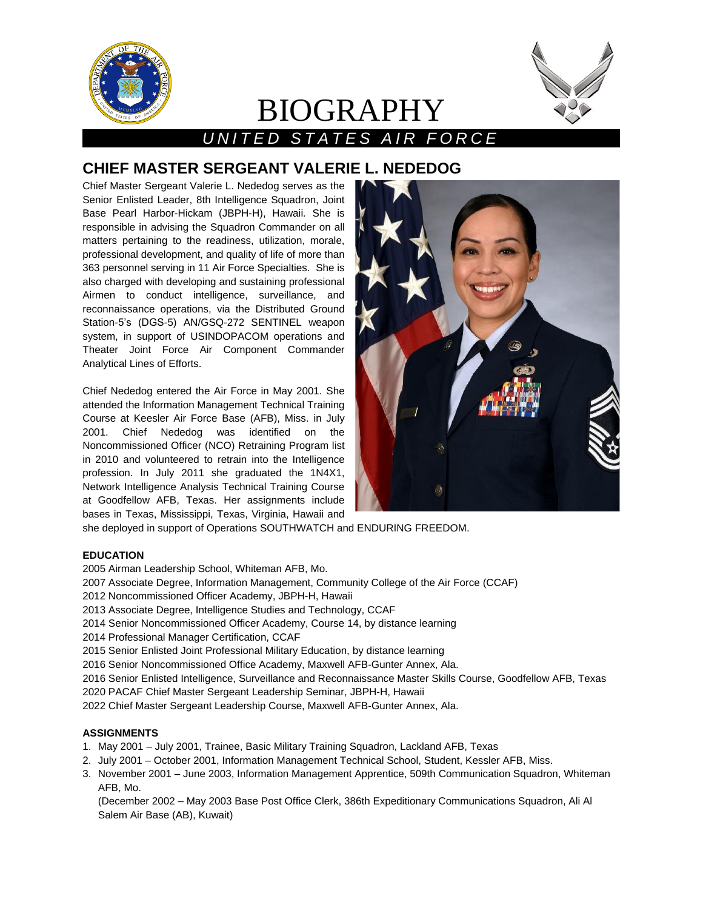

# BIOGRAPHY



# *U N I T E D S T A T E S A I R F O R C E*

# **CHIEF MASTER SERGEANT VALERIE L. NEDEDOG**

Chief Master Sergeant Valerie L. Nededog serves as the Senior Enlisted Leader, 8th Intelligence Squadron, Joint Base Pearl Harbor-Hickam (JBPH-H), Hawaii. She is responsible in advising the Squadron Commander on all matters pertaining to the readiness, utilization, morale, professional development, and quality of life of more than 363 personnel serving in 11 Air Force Specialties. She is also charged with developing and sustaining professional Airmen to conduct intelligence, surveillance, and reconnaissance operations, via the Distributed Ground Station-5's (DGS-5) AN/GSQ-272 SENTINEL weapon system, in support of USINDOPACOM operations and Theater Joint Force Air Component Commander Analytical Lines of Efforts.

Chief Nededog entered the Air Force in May 2001. She attended the Information Management Technical Training Course at Keesler Air Force Base (AFB), Miss. in July 2001. Chief Nededog was identified on the Noncommissioned Officer (NCO) Retraining Program list in 2010 and volunteered to retrain into the Intelligence profession. In July 2011 she graduated the 1N4X1, Network Intelligence Analysis Technical Training Course at Goodfellow AFB, Texas. Her assignments include bases in Texas, Mississippi, Texas, Virginia, Hawaii and



she deployed in support of Operations SOUTHWATCH and ENDURING FREEDOM.

## **EDUCATION**

- 2005 Airman Leadership School, Whiteman AFB, Mo.
- 2007 Associate Degree, Information Management, Community College of the Air Force (CCAF)
- 2012 Noncommissioned Officer Academy, JBPH-H, Hawaii
- 2013 Associate Degree, Intelligence Studies and Technology, CCAF
- 2014 Senior Noncommissioned Officer Academy, Course 14, by distance learning
- 2014 Professional Manager Certification, CCAF
- 2015 Senior Enlisted Joint Professional Military Education, by distance learning
- 2016 Senior Noncommissioned Office Academy, Maxwell AFB-Gunter Annex, Ala.
- 2016 Senior Enlisted Intelligence, Surveillance and Reconnaissance Master Skills Course, Goodfellow AFB, Texas
- 2020 PACAF Chief Master Sergeant Leadership Seminar, JBPH-H, Hawaii

2022 Chief Master Sergeant Leadership Course, Maxwell AFB-Gunter Annex, Ala.

# **ASSIGNMENTS**

- 1. May 2001 July 2001, Trainee, Basic Military Training Squadron, Lackland AFB, Texas
- 2. July 2001 October 2001, Information Management Technical School, Student, Kessler AFB, Miss.
- 3. November 2001 June 2003, Information Management Apprentice, 509th Communication Squadron, Whiteman AFB, Mo.

(December 2002 – May 2003 Base Post Office Clerk, 386th Expeditionary Communications Squadron, Ali Al Salem Air Base (AB), Kuwait)